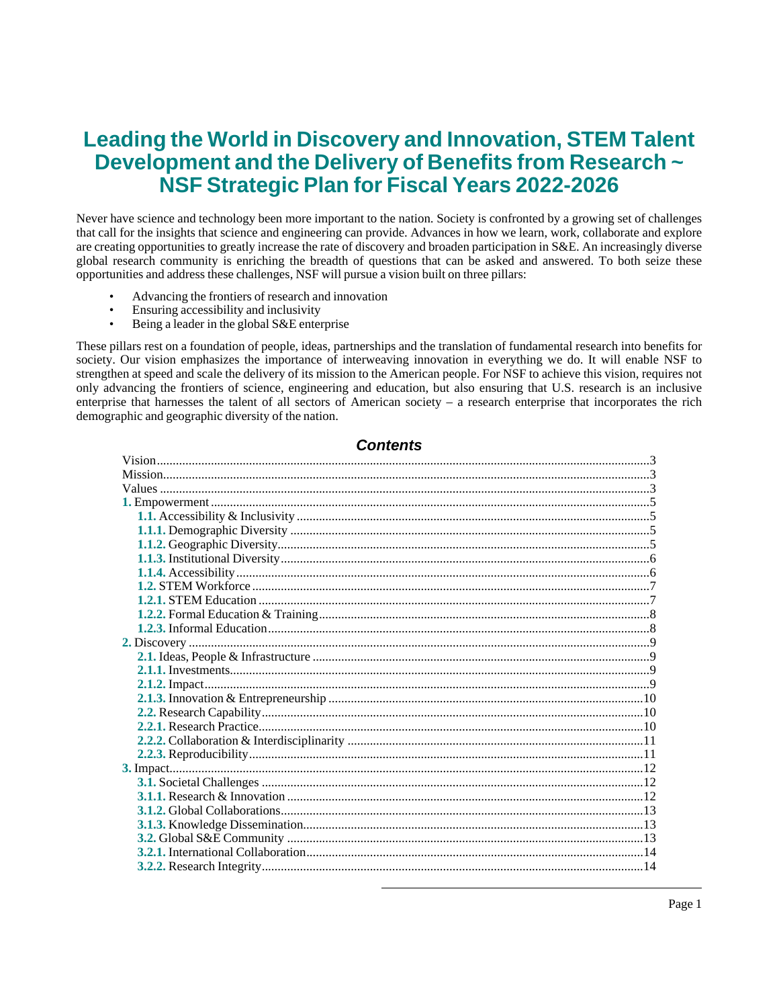# **Leading the World in Discovery and Innovation, STEM Talent Development and the Delivery of Benefits from Research ~ NSF Strategic Plan for Fiscal Years 2022-2026**

Never have science and technology been more important to the nation. Society is confronted by a growing set of challenges that call for the insights that science and engineering can provide. Advances in how we learn, work, collaborate and explore are creating opportunities to greatly increase the rate of discovery and broaden participation in S&E. An increasingly diverse global research community is enriching the breadth of questions that can be asked and answered. To both seize these opportunities and address these challenges, NSF will pursue a vision built on three pillars:

- Advancing the frontiers of research and innovation
- Ensuring accessibility and inclusivity<br>Being a leader in the global  $S_{\ell}E$  enter
- Being a leader in the global S&E enterprise

These pillars rest on a foundation of people, ideas, partnerships and the translation of fundamental research into benefits for society. Our vision emphasizes the importance of interweaving innovation in everything we do. It will enable NSF to strengthen at speed and scale the delivery of its mission to the American people. For NSF to achieve this vision, requires not only advancing the frontiers of science, engineering and education, but also ensuring that U.S. research is an inclusive enterprise that harnesses the talent of all sectors of American society – a research enterprise that incorporates the rich demographic and geographic diversity of the nation.

## **Contents**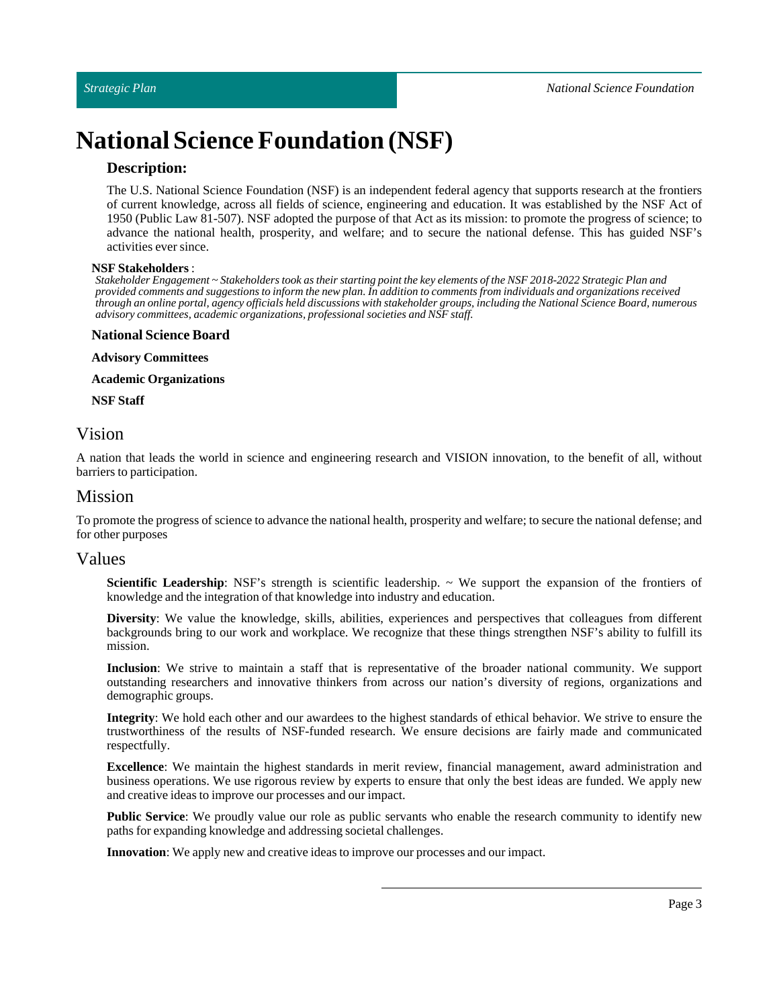# **National Science Foundation (NSF)**

## **Description:**

The U.S. National Science Foundation (NSF) is an independent federal agency that supports research at the frontiers of current knowledge, across all fields of science, engineering and education. It was established by the NSF Act of 1950 (Public Law 81-507). NSF adopted the purpose of that Act as its mission: to promote the progress of science; to advance the national health, prosperity, and welfare; and to secure the national defense. This has guided NSF's activities ever since.

#### **NSF Stakeholders** :

Stakeholder Engagement ~ Stakeholders took as their starting point the key elements of the NSF 2018-2022 Strategic Plan and provided comments and suggestions to inform the new plan. In addition to comments from individuals and organizations received through an online portal, agency officials held discussions with stakeholder groups, including the National Science Board, numerous *advisory committees, academic organizations, professional societies and NSF staff.*

#### **National Science Board**

**Advisory Committees**

**Academic Organizations**

**NSF Staff**

# <span id="page-2-0"></span>Vision

A nation that leads the world in science and engineering research and VISION innovation, to the benefit of all, without barriers to participation.

# <span id="page-2-1"></span>Mission

To promote the progress of science to advance the national health, prosperity and welfare; to secure the national defense; and for other purposes

## <span id="page-2-2"></span>Values

**Scientific Leadership**: NSF's strength is scientific leadership. ~ We support the expansion of the frontiers of knowledge and the integration of that knowledge into industry and education.

**Diversity**: We value the knowledge, skills, abilities, experiences and perspectives that colleagues from different backgrounds bring to our work and workplace. We recognize that these things strengthen NSF's ability to fulfill its mission.

**Inclusion**: We strive to maintain a staff that is representative of the broader national community. We support outstanding researchers and innovative thinkers from across our nation's diversity of regions, organizations and demographic groups.

**Integrity**: We hold each other and our awardees to the highest standards of ethical behavior. We strive to ensure the trustworthiness of the results of NSF-funded research. We ensure decisions are fairly made and communicated respectfully.

**Excellence**: We maintain the highest standards in merit review, financial management, award administration and business operations. We use rigorous review by experts to ensure that only the best ideas are funded. We apply new and creative ideas to improve our processes and our impact.

**Public Service**: We proudly value our role as public servants who enable the research community to identify new paths for expanding knowledge and addressing societal challenges.

**Innovation**: We apply new and creative ideas to improve our processes and our impact.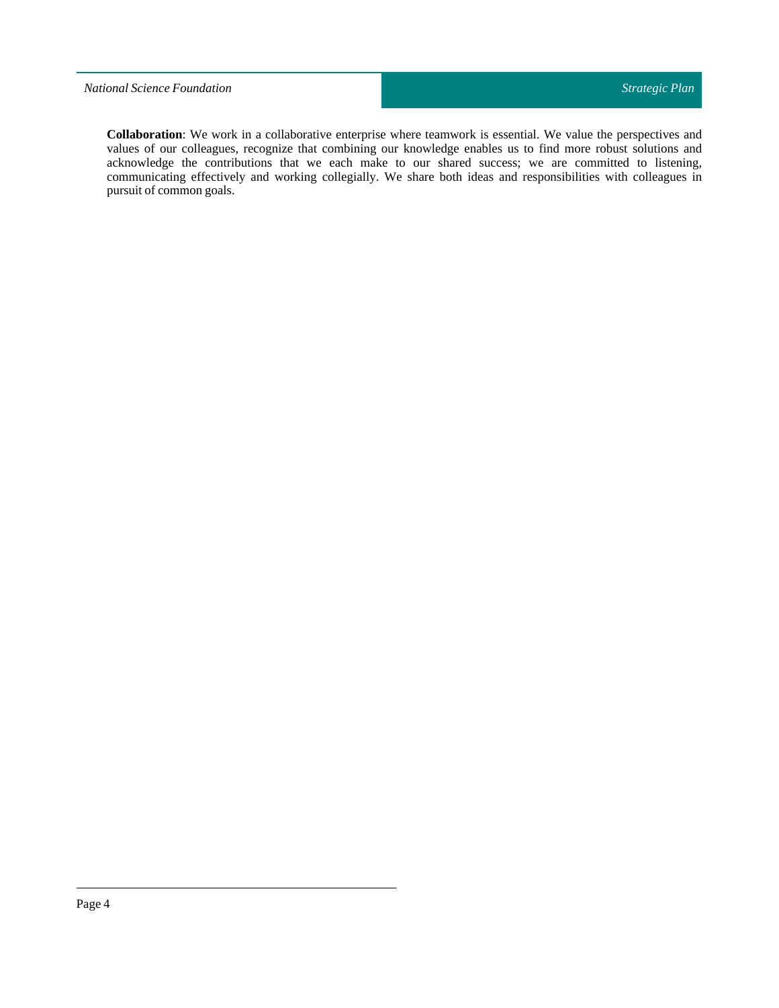## *National Science Foundation*

**Collaboration**: We work in a collaborative enterprise where teamwork is essential. We value the perspectives and values of our colleagues, recognize that combining our knowledge enables us to find more robust solutions and acknowledge the contributions that we each make to our shared success; we are committed to listening, communicating effectively and working collegially. We share both ideas and responsibilities with colleagues in pursuit of common goals.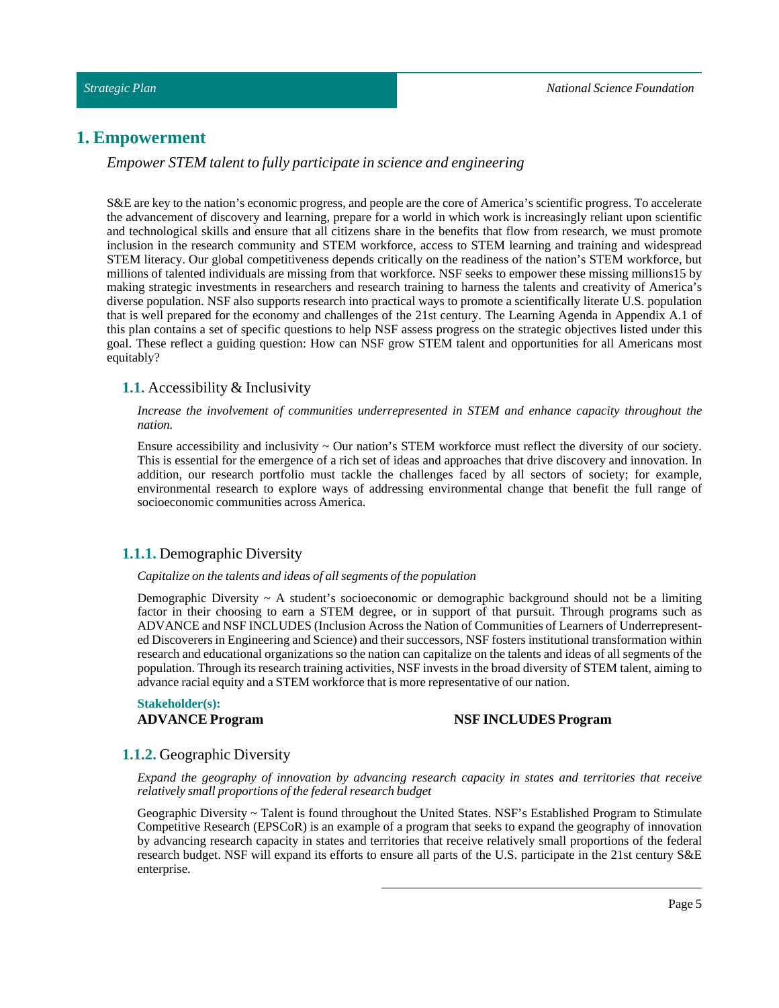## <span id="page-4-0"></span>**1. Empowerment**

*Empower STEM talent to fully participate in science and engineering*

S&E are key to the nation's economic progress, and people are the core of America's scientific progress. To accelerate the advancement of discovery and learning, prepare for a world in which work is increasingly reliant upon scientific and technological skills and ensure that all citizens share in the benefits that flow from research, we must promote inclusion in the research community and STEM workforce, access to STEM learning and training and widespread STEM literacy. Our global competitiveness depends critically on the readiness of the nation's STEM workforce, but millions of talented individuals are missing from that workforce. NSF seeks to empower these missing millions15 by making strategic investments in researchers and research training to harness the talents and creativity of America's diverse population. NSF also supports research into practical ways to promote a scientifically literate U.S. population that is well prepared for the economy and challenges of the 21st century. The Learning Agenda in Appendix A.1 of this plan contains a set of specific questions to help NSF assess progress on the strategic objectives listed under this goal. These reflect a guiding question: How can NSF grow STEM talent and opportunities for all Americans most equitably?

## <span id="page-4-1"></span>**1.1.** Accessibility & Inclusivity

#### *Increase the involvement of communities underrepresented in STEM and enhance capacity throughout the nation.*

Ensure accessibility and inclusivity ~ Our nation's STEM workforce must reflect the diversity of our society. This is essential for the emergence of a rich set of ideas and approaches that drive discovery and innovation. In addition, our research portfolio must tackle the challenges faced by all sectors of society; for example, environmental research to explore ways of addressing environmental change that benefit the full range of socioeconomic communities across America.

## <span id="page-4-2"></span>**1.1.1.** Demographic Diversity

#### *Capitalize on the talents and ideas of all segments ofthe population*

Demographic Diversity  $\sim A$  student's socioeconomic or demographic background should not be a limiting factor in their choosing to earn a STEM degree, or in support of that pursuit. Through programs such as ADVANCE and NSFINCLUDES(Inclusion Across the Nation of Communities of Learners of Underrepresented Discoverers in Engineering and Science) and their successors, NSF fosters institutional transformation within research and educational organizations so the nation can capitalize on the talents and ideas of all segments of the population. Through its research training activities, NSFinvests in the broad diversity of STEM talent, aiming to advance racial equity and a STEM workforce that is more representative of our nation.

# **Stakeholder(s):**

#### **ADVANCE Program NSF INCLUDES Program**

#### <span id="page-4-3"></span>**1.1.2.** Geographic Diversity

*Expand the geography of innovation by advancing research capacity in states and territories that receive relatively small proportions ofthe federal research budget*

Geographic Diversity ~ Talent is found throughout the United States. NSF's Established Program to Stimulate Competitive Research (EPSCoR) is an example of a program that seeks to expand the geography of innovation by advancing research capacity in states and territories that receive relatively small proportions of the federal research budget. NSF will expand its efforts to ensure all parts of the U.S. participate in the 21st century S&E enterprise.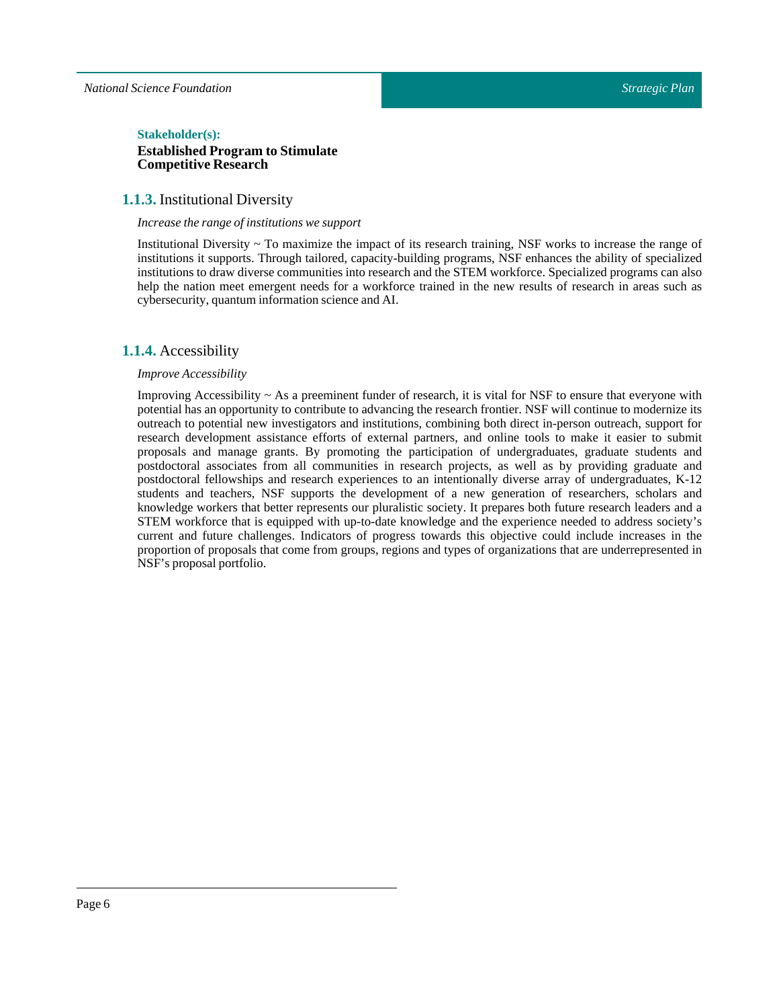#### $Stakeholder(s):$

## **Established Program to Stimulate Competitive Research**

## <span id="page-5-0"></span>**1.1.3.** Institutional Diversity

#### *Increase the range ofinstitutions we support*

Institutional Diversity ~ To maximize the impact of its research training, NSF works to increase the range of institutions it supports. Through tailored, capacity-building programs, NSF enhances the ability of specialized institutions to draw diverse communities into research and the STEM workforce. Specialized programs can also help the nation meet emergent needs for a workforce trained in the new results of research in areas such as cybersecurity, quantum information science and AI.

## <span id="page-5-1"></span>**1.1.4.** Accessibility

#### *Improve Accessibility*

Improving Accessibility  $\sim$  As a preeminent funder of research, it is vital for NSF to ensure that everyone with potential has an opportunity to contribute to advancing the research frontier. NSF will continue to modernize its outreach to potential new investigators and institutions, combining both direct in-person outreach, support for research development assistance efforts of external partners, and online tools to make it easier to submit proposals and manage grants. By promoting the participation of undergraduates, graduate students and postdoctoral associates from all communities in research projects, as well as by providing graduate and postdoctoral fellowships and research experiences to an intentionally diverse array of undergraduates, K-12 students and teachers, NSF supports the development of a new generation of researchers, scholars and knowledge workers that better represents our pluralistic society. It prepares both future research leaders and a STEM workforce that is equipped with up-to-date knowledge and the experience needed to address society's current and future challenges. Indicators of progress towards this objective could include increases in the proportion of proposals that come from groups, regions and types of organizations that are underrepresented in NSF's proposal portfolio.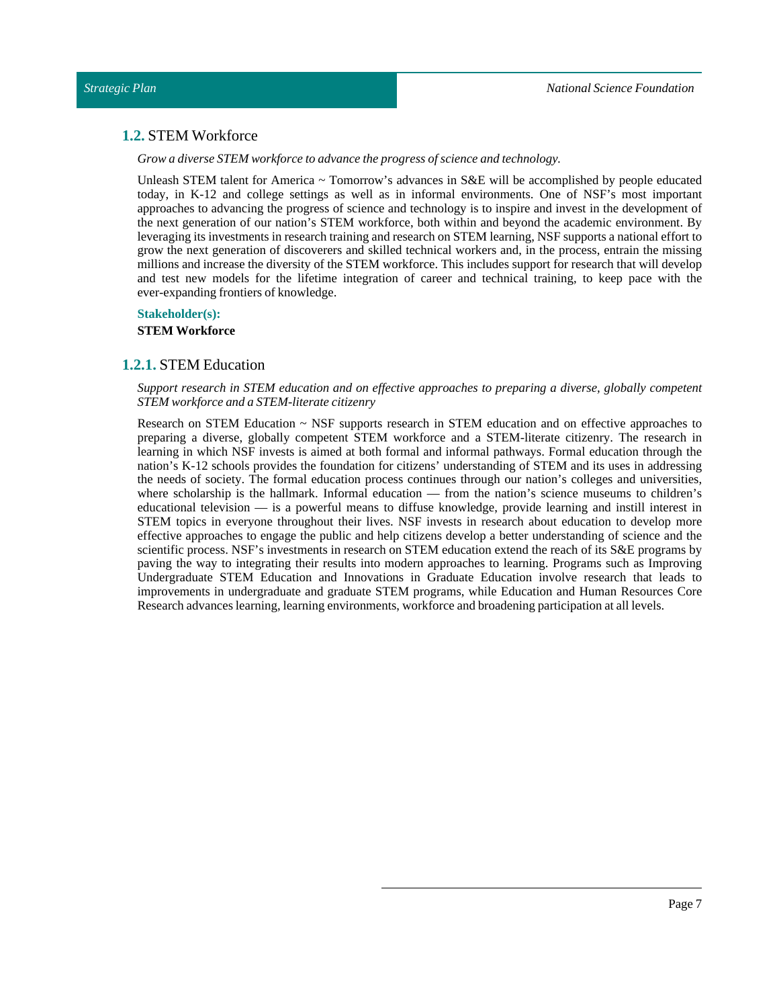# <span id="page-6-0"></span>**1.2.** STEM Workforce

*Grow a diverse STEM workforce to advance the progress of science and technology.*

Unleash STEM talent for America  $\sim$  Tomorrow's advances in S&E will be accomplished by people educated today, in K-12 and college settings as well as in informal environments. One of NSF's most important approaches to advancing the progress of science and technology is to inspire and invest in the development of the next generation of our nation's STEM workforce, both within and beyond the academic environment. By leveraging its investments in research training and research on STEM learning, NSF supports a national effort to grow the next generation of discoverers and skilled technical workers and, in the process, entrain the missing millions and increase the diversity of the STEM workforce. This includes support for research that will develop and test new models for the lifetime integration of career and technical training, to keep pace with the ever-expanding frontiers of knowledge.

#### **Stakeholder(s):**

**STEM Workforce**

## <span id="page-6-1"></span>**1.2.1.** STEM Education

*Support research in STEM education and on effective approaches to preparing a diverse, globally competent STEM workforce and a STEM-literate citizenry*

Research on STEM Education ~ NSF supports research in STEM education and on effective approaches to preparing a diverse, globally competent STEM workforce and a STEM-literate citizenry. The research in learning in which NSF invests is aimed at both formal and informal pathways. Formal education through the nation's K-12 schools provides the foundation for citizens' understanding of STEM and its uses in addressing the needs of society. The formal education process continues through our nation's colleges and universities, where scholarship is the hallmark. Informal education — from the nation's science museums to children's educational television — is a powerful means to diffuse knowledge, provide learning and instill interest in STEM topics in everyone throughout their lives. NSF invests in research about education to develop more effective approaches to engage the public and help citizens develop a better understanding of science and the scientific process. NSF's investments in research on STEM education extend the reach of its S&E programs by paving the way to integrating their results into modern approaches to learning. Programs such as Improving Undergraduate STEM Education and Innovations in Graduate Education involve research that leads to improvements in undergraduate and graduate STEM programs, while Education and Human Resources Core Research advances learning, learning environments, workforce and broadening participation at all levels.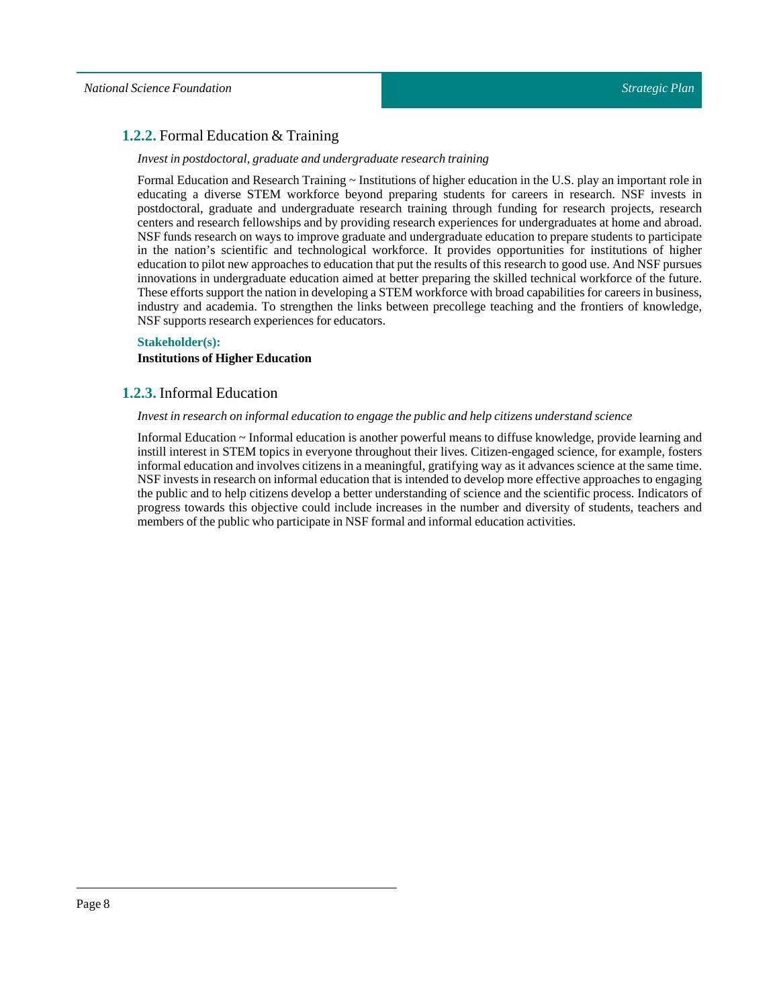# <span id="page-7-0"></span>**1.2.2.** Formal Education & Training

## *Investin postdoctoral, graduate and undergraduate research training*

Formal Education and Research Training ~ Institutions of higher education in the U.S. play an important role in educating a diverse STEM workforce beyond preparing students for careers in research. NSF invests in postdoctoral, graduate and undergraduate research training through funding for research projects, research centers and research fellowships and by providing research experiences for undergraduates at home and abroad. NSF funds research on ways to improve graduate and undergraduate education to prepare students to participate in the nation's scientific and technological workforce. It provides opportunities for institutions of higher education to pilot new approaches to education that putthe results of this research to good use. And NSF pursues innovations in undergraduate education aimed at better preparing the skilled technical workforce of the future. These efforts support the nation in developing a STEM workforce with broad capabilities for careers in business, industry and academia. To strengthen the links between precollege teaching and the frontiers of knowledge, NSF supports research experiences for educators.

#### **Stakeholder(s):**

## **Institutions of Higher Education**

## <span id="page-7-1"></span>**1.2.3.** Informal Education

#### *Investin research on informal education to engage the public and help citizens understand science*

Informal Education ~ Informal education is another powerful means to diffuse knowledge, provide learning and instill interest in STEM topics in everyone throughout their lives. Citizen-engaged science, for example, fosters informal education and involves citizens in a meaningful, gratifying way as it advances science at the same time. NSFinvests in research on informal education that is intended to develop more effective approaches to engaging the public and to help citizens develop a better understanding of science and the scientific process. Indicators of progress towards this objective could include increases in the number and diversity of students, teachers and members of the public who participate in NSF formal and informal education activities.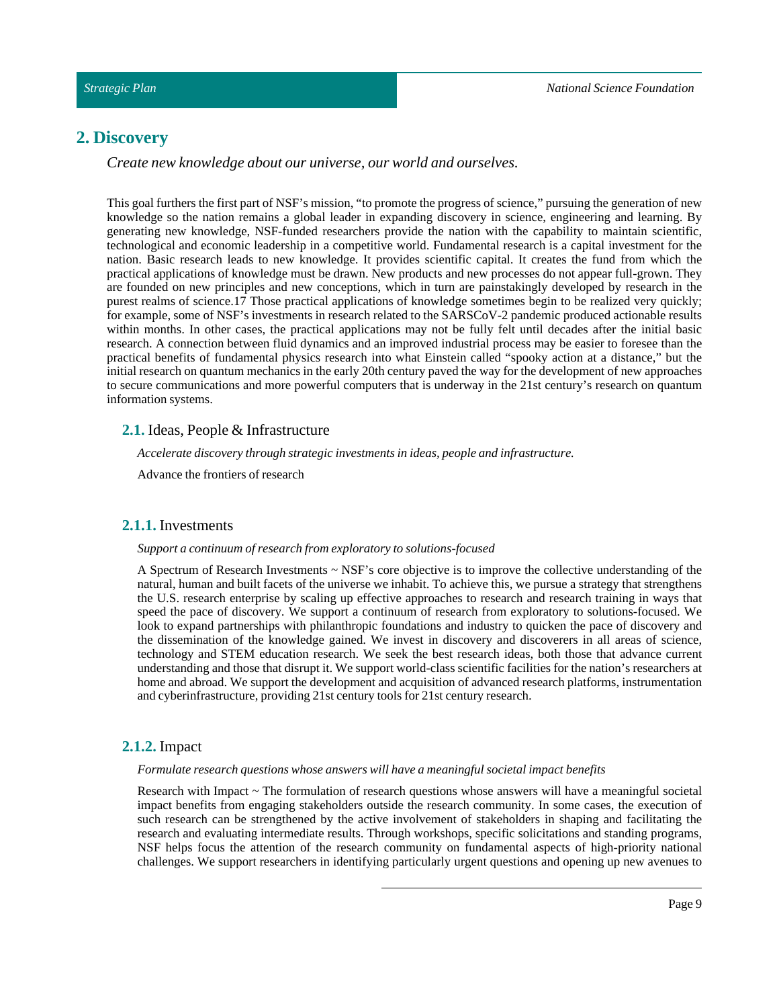# <span id="page-8-0"></span>**2. Discovery**

*Create new knowledge about our universe, our world and ourselves.*

This goal furthers the first part of NSF's mission, "to promote the progress of science," pursuing the generation of new knowledge so the nation remains a global leader in expanding discovery in science, engineering and learning. By generating new knowledge, NSF-funded researchers provide the nation with the capability to maintain scientific, technological and economic leadership in a competitive world. Fundamental research is a capital investment for the nation. Basic research leads to new knowledge. It provides scientific capital. It creates the fund from which the practical applications of knowledge must be drawn. New products and new processes do not appear full-grown. They are founded on new principles and new conceptions, which in turn are painstakingly developed by research in the purest realms of science.17 Those practical applications of knowledge sometimes begin to be realized very quickly; for example, some of NSF's investments in research related to the SARSCoV-2 pandemic produced actionable results within months. In other cases, the practical applications may not be fully felt until decades after the initial basic research. A connection between fluid dynamics and an improved industrial process may be easier to foresee than the practical benefits of fundamental physics research into what Einstein called "spooky action at a distance," but the initial research on quantum mechanics in the early 20th century paved the way for the development of new approaches to secure communications and more powerful computers that is underway in the 21st century's research on quantum information systems.

## <span id="page-8-1"></span>**2.1.** Ideas, People & Infrastructure

*Accelerate discovery through strategic investments in ideas, people and infrastructure.*

Advance the frontiers of research

## <span id="page-8-2"></span>**2.1.1.** Investments

#### *Support a continuum of research from exploratory to solutions-focused*

A Spectrum of Research Investments  $\sim$  NSF's core objective is to improve the collective understanding of the natural, human and built facets of the universe we inhabit. To achieve this, we pursue a strategy that strengthens the U.S. research enterprise by scaling up effective approaches to research and research training in ways that speed the pace of discovery. We support a continuum of research from exploratory to solutions-focused. We look to expand partnerships with philanthropic foundations and industry to quicken the pace of discovery and the dissemination of the knowledge gained. We invest in discovery and discoverers in all areas of science, technology and STEM education research. We seek the best research ideas, both those that advance current understanding and those that disrupt it. We support world-class scientific facilities for the nation's researchers at home and abroad. We support the development and acquisition of advanced research platforms, instrumentation and cyberinfrastructure, providing 21st century tools for 21st century research.

## <span id="page-8-3"></span>**2.1.2.** Impact

#### *Formulate research questions whose answers will have a meaningful societalimpact benefits*

Research with Impact ~ The formulation of research questions whose answers will have a meaningful societal impact benefits from engaging stakeholders outside the research community. In some cases, the execution of such research can be strengthened by the active involvement of stakeholders in shaping and facilitating the research and evaluating intermediate results. Through workshops, specific solicitations and standing programs, NSF helps focus the attention of the research community on fundamental aspects of high-priority national challenges. We support researchers in identifying particularly urgent questions and opening up new avenues to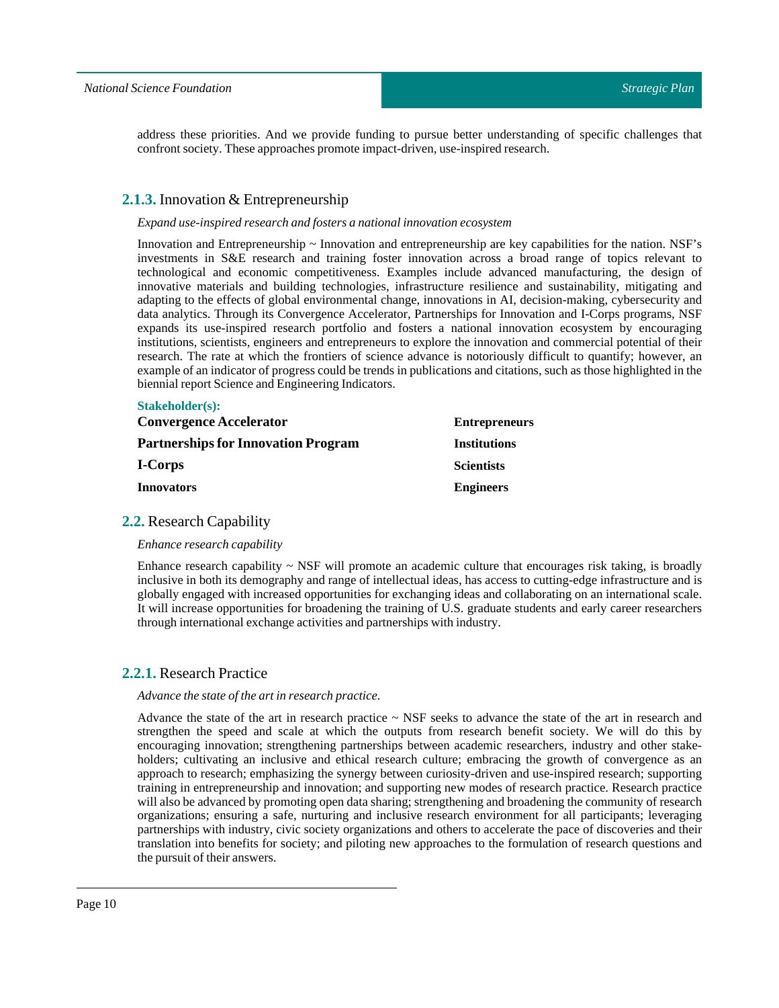address these priorities. And we provide funding to pursue better understanding of specific challenges that confront society. These approaches promote impact-driven, use-inspired research.

## <span id="page-9-0"></span>**2.1.3.** Innovation & Entrepreneurship

#### *Expand use-inspired research and fosters a nationalinnovation ecosystem*

Innovation and Entrepreneurship ~ Innovation and entrepreneurship are key capabilities for the nation. NSF's investments in S&E research and training foster innovation across a broad range of topics relevant to technological and economic competitiveness. Examples include advanced manufacturing, the design of innovative materials and building technologies, infrastructure resilience and sustainability, mitigating and adapting to the effects of global environmental change, innovations in AI, decision-making, cybersecurity and data analytics. Through its Convergence Accelerator, Partnerships for Innovation and I-Corps programs, NSF expands its use-inspired research portfolio and fosters a national innovation ecosystem by encouraging institutions, scientists, engineers and entrepreneurs to explore the innovation and commercial potential of their research. The rate at which the frontiers of science advance is notoriously difficult to quantify; however, an example of an indicator of progress could be trends in publications and citations, such as those highlighted in the biennial report Science and Engineering Indicators.

#### **Stakeholder(s):**

| <b>Convergence Accelerator</b>             | <b>Entrepreneurs</b> |
|--------------------------------------------|----------------------|
| <b>Partnerships for Innovation Program</b> | <b>Institutions</b>  |
| I-Corps                                    | <b>Scientists</b>    |
| <b>Innovators</b>                          | <b>Engineers</b>     |
|                                            |                      |

## <span id="page-9-1"></span>**2.2.** Research Capability

*Enhance research capability*

Enhance research capability  $\sim$  NSF will promote an academic culture that encourages risk taking, is broadly inclusive in both its demography and range of intellectual ideas, has access to cutting-edge infrastructure and is globally engaged with increased opportunities for exchanging ideas and collaborating on an international scale. It will increase opportunities for broadening the training of U.S. graduate students and early career researchers through international exchange activities and partnerships with industry.

## <span id="page-9-2"></span>**2.2.1.** Research Practice

#### *Advance the state ofthe artin research practice.*

Advance the state of the art in research practice  $\sim$  NSF seeks to advance the state of the art in research and strengthen the speed and scale at which the outputs from research benefit society. We will do this by encouraging innovation; strengthening partnerships between academic researchers, industry and other stakeholders; cultivating an inclusive and ethical research culture; embracing the growth of convergence as an approach to research; emphasizing the synergy between curiosity-driven and use-inspired research; supporting training in entrepreneurship and innovation; and supporting new modes of research practice. Research practice will also be advanced by promoting open data sharing; strengthening and broadening the community of research organizations; ensuring a safe, nurturing and inclusive research environment for all participants; leveraging partnerships with industry, civic society organizations and others to accelerate the pace of discoveries and their translation into benefits for society; and piloting new approaches to the formulation of research questions and the pursuit of their answers.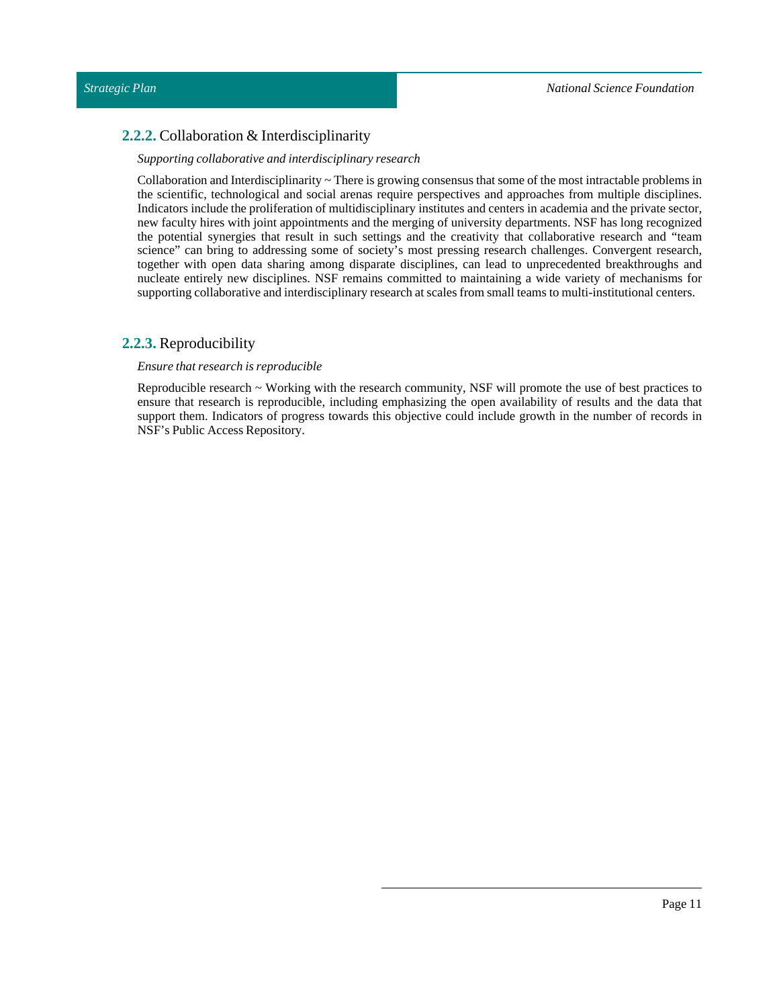# <span id="page-10-0"></span>**2.2.2.** Collaboration & Interdisciplinarity

## *Supporting collaborative and interdisciplinary research*

Collaboration and Interdisciplinarity  $\sim$  There is growing consensus that some of the most intractable problems in the scientific, technological and social arenas require perspectives and approaches from multiple disciplines. Indicators include the proliferation of multidisciplinary institutes and centers in academia and the private sector, new faculty hires with joint appointments and the merging of university departments. NSF has long recognized the potential synergies that result in such settings and the creativity that collaborative research and "team science" can bring to addressing some of society's most pressing research challenges. Convergent research, together with open data sharing among disparate disciplines, can lead to unprecedented breakthroughs and nucleate entirely new disciplines. NSF remains committed to maintaining a wide variety of mechanisms for supporting collaborative and interdisciplinary research at scales from small teams to multi-institutional centers.

## <span id="page-10-1"></span>**2.2.3.** Reproducibility

## *Ensure that research is reproducible*

Reproducible research ~ Working with the research community, NSF will promote the use of best practices to ensure that research is reproducible, including emphasizing the open availability of results and the data that support them. Indicators of progress towards this objective could include growth in the number of records in NSF's Public Access Repository.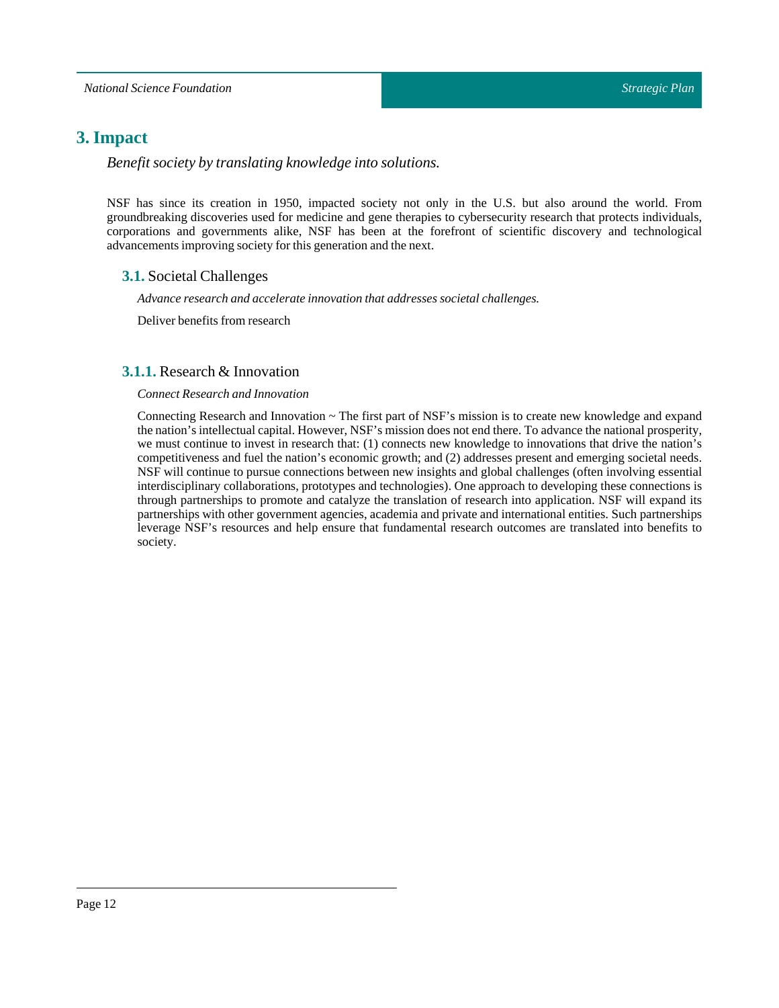# <span id="page-11-0"></span>**3. Impact**

*Benefit society by translating knowledge into solutions.*

NSF has since its creation in 1950, impacted society not only in the U.S. but also around the world. From groundbreaking discoveries used for medicine and gene therapies to cybersecurity research that protects individuals, corporations and governments alike, NSF has been at the forefront of scientific discovery and technological advancements improving society for this generation and the next.

## <span id="page-11-1"></span>**3.1.** Societal Challenges

*Advance research and accelerate innovation that addresses societal challenges.*

Deliver benefits from research

## <span id="page-11-2"></span>**3.1.1.** Research & Innovation

## *Connect Research and Innovation*

Connecting Research and Innovation  $\sim$  The first part of NSF's mission is to create new knowledge and expand the nation's intellectual capital. However, NSF's mission does not end there. To advance the national prosperity, we must continue to invest in research that: (1) connects new knowledge to innovations that drive the nation's competitiveness and fuel the nation's economic growth; and (2) addresses present and emerging societal needs. NSF will continue to pursue connections between new insights and global challenges (often involving essential interdisciplinary collaborations, prototypes and technologies). One approach to developing these connections is through partnerships to promote and catalyze the translation of research into application. NSF will expand its partnerships with other government agencies, academia and private and international entities. Such partnerships leverage NSF's resources and help ensure that fundamental research outcomes are translated into benefits to society.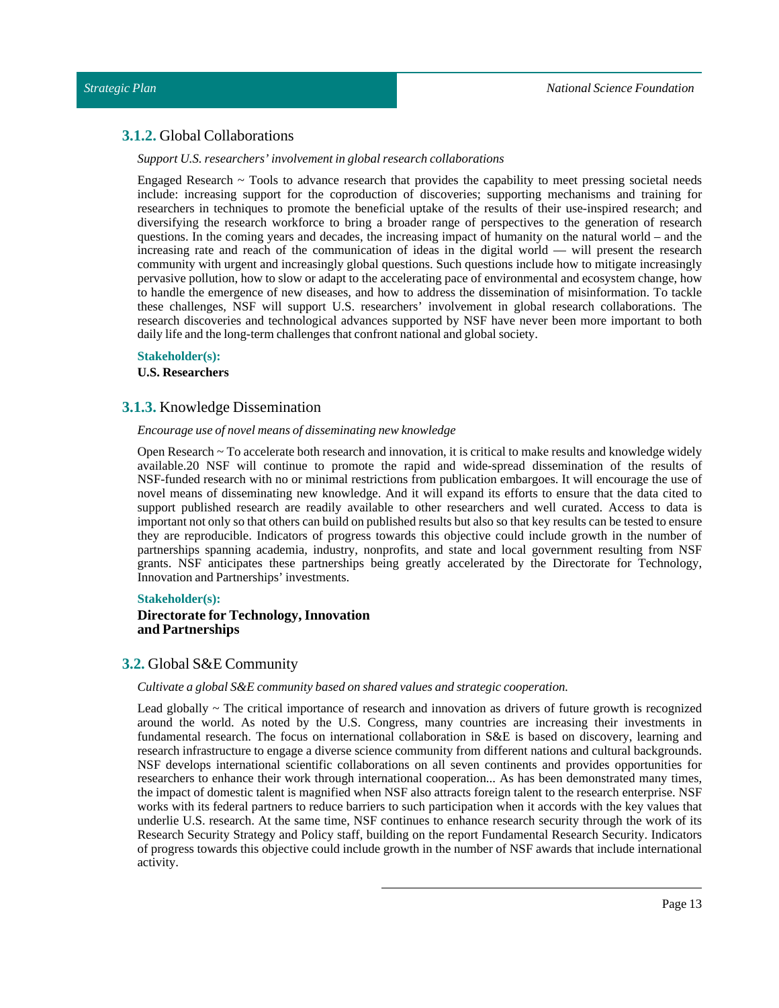## <span id="page-12-0"></span>**3.1.2.** Global Collaborations

#### *Support U.S. researchers' involvementin global research collaborations*

Engaged Research  $\sim$  Tools to advance research that provides the capability to meet pressing societal needs include: increasing support for the coproduction of discoveries; supporting mechanisms and training for researchers in techniques to promote the beneficial uptake of the results of their use-inspired research; and diversifying the research workforce to bring a broader range of perspectives to the generation of research questions. In the coming years and decades, the increasing impact of humanity on the natural world – and the increasing rate and reach of the communication of ideas in the digital world — will present the research community with urgent and increasingly global questions. Such questions include how to mitigate increasingly pervasive pollution, how to slow or adapt to the accelerating pace of environmental and ecosystem change, how to handle the emergence of new diseases, and how to address the dissemination of misinformation. To tackle these challenges, NSF will support U.S. researchers' involvement in global research collaborations. The research discoveries and technological advances supported by NSF have never been more important to both daily life and the long-term challenges that confront national and global society.

#### **Stakeholder(s):**

**U.S. Researchers**

## <span id="page-12-1"></span>**3.1.3.** Knowledge Dissemination

#### *Encourage use of novel means of disseminating new knowledge*

Open Research ~ To accelerate both research and innovation, it is critical to make results and knowledge widely available.20 NSF will continue to promote the rapid and wide-spread dissemination of the results of NSF-funded research with no or minimal restrictions from publication embargoes. It will encourage the use of novel means of disseminating new knowledge. And it will expand its efforts to ensure that the data cited to support published research are readily available to other researchers and well curated. Access to data is important not only so that others can build on published results but also so that key results can be tested to ensure they are reproducible. Indicators of progress towards this objective could include growth in the number of partnerships spanning academia, industry, nonprofits, and state and local government resulting from NSF grants. NSF anticipates these partnerships being greatly accelerated by the Directorate for Technology, Innovation and Partnerships' investments.

#### **Stakeholder(s):**

## **Directorate for Technology, Innovation and Partnerships**

## <span id="page-12-2"></span>**3.2.** Global S&E Community

#### *Cultivate a global S&E community based on shared values and strategic cooperation.*

Lead globally ~ The critical importance of research and innovation as drivers of future growth is recognized around the world. As noted by the U.S. Congress, many countries are increasing their investments in fundamental research. The focus on international collaboration in S&E is based on discovery, learning and research infrastructure to engage a diverse science community from different nations and cultural backgrounds. NSF develops international scientific collaborations on all seven continents and provides opportunities for researchers to enhance their work through international cooperation... As has been demonstrated many times, the impact of domestic talent is magnified when NSF also attracts foreign talent to the research enterprise. NSF works with its federal partners to reduce barriers to such participation when it accords with the key values that underlie U.S. research. At the same time, NSF continues to enhance research security through the work of its Research Security Strategy and Policy staff, building on the report Fundamental Research Security. Indicators of progress towards this objective could include growth in the number of NSF awards that include international activity.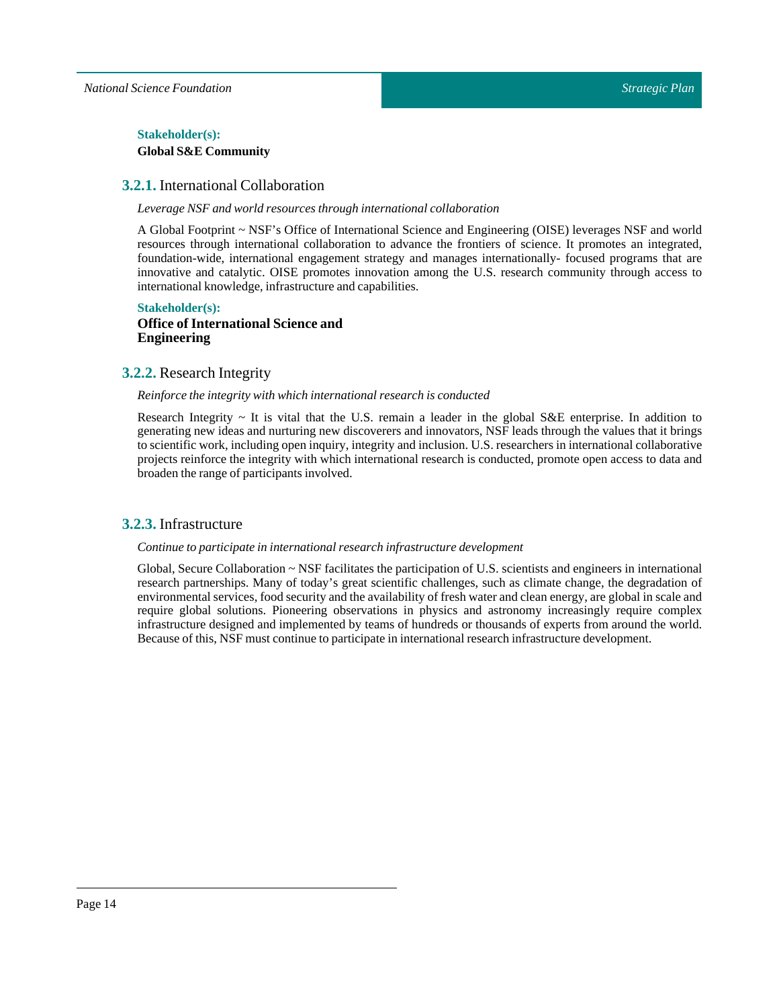*National Science Foundation*

## $Stakeholder(s):$ **GlobalS&E Community**

## <span id="page-13-0"></span>**3.2.1.** International Collaboration

*Leverage NSF and world resources through international collaboration*

A Global Footprint ~ NSF's Office of International Science and Engineering (OISE) leverages NSF and world resources through international collaboration to advance the frontiers of science. It promotes an integrated, foundation-wide, international engagement strategy and manages internationally- focused programs that are innovative and catalytic. OISE promotes innovation among the U.S. research community through access to international knowledge, infrastructure and capabilities.

## **Stakeholder(s): Office of International Science and Engineering**

## <span id="page-13-1"></span>**3.2.2.** Research Integrity

#### *Reinforce the integrity with which international research is conducted*

Research Integrity  $\sim$  It is vital that the U.S. remain a leader in the global S&E enterprise. In addition to generating new ideas and nurturing new discoverers and innovators, NSF leads through the values that it brings to scientific work, including open inquiry, integrity and inclusion. U.S. researchers in international collaborative projects reinforce the integrity with which international research is conducted, promote open access to data and broaden the range of participants involved.

## <span id="page-13-2"></span>**3.2.3.** Infrastructure

#### *Continue to participate in international research infrastructure development*

Global, Secure Collaboration ~ NSF facilitates the participation of U.S. scientists and engineers in international research partnerships. Many of today's great scientific challenges, such as climate change, the degradation of environmental services, food security and the availability of fresh water and clean energy, are global in scale and require global solutions. Pioneering observations in physics and astronomy increasingly require complex infrastructure designed and implemented by teams of hundreds or thousands of experts from around the world. Because of this, NSF must continue to participate in international research infrastructure development.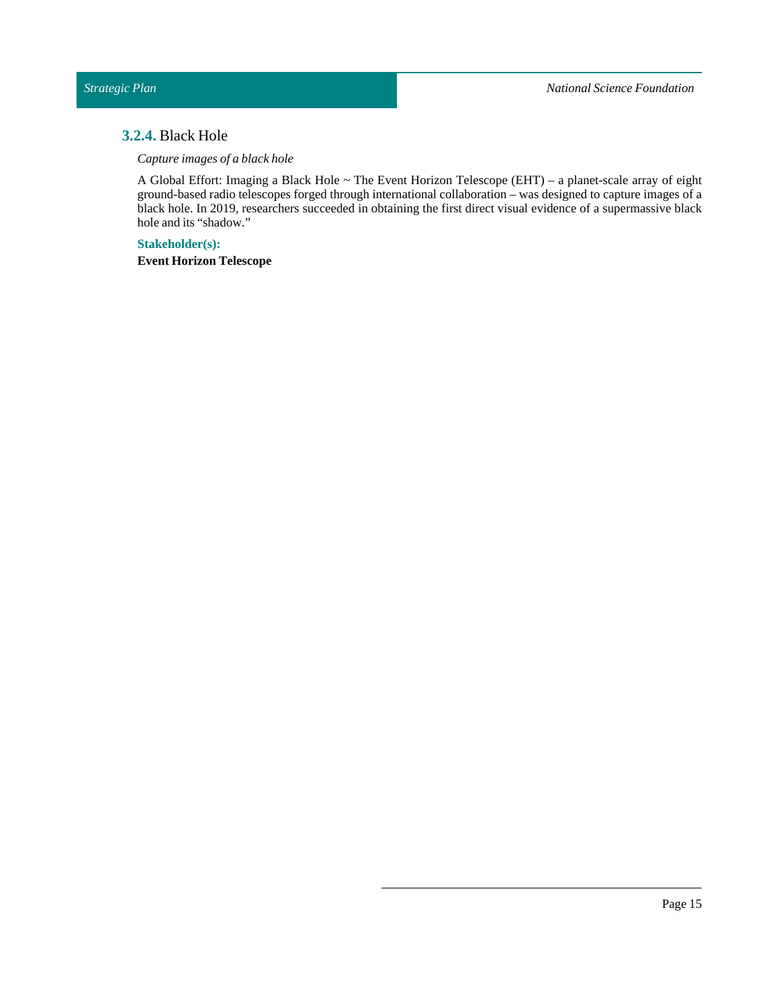## <span id="page-14-0"></span>**3.2.4.** Black Hole

*Capture images of a black hole*

A Global Effort: Imaging a Black Hole ~ The Event Horizon Telescope (EHT) – a planet-scale array of eight ground-based radio telescopes forged through international collaboration – was designed to capture images of a black hole. In 2019, researchers succeeded in obtaining the first direct visual evidence of a supermassive black hole and its "shadow."

**Stakeholder(s): Event Horizon Telescope**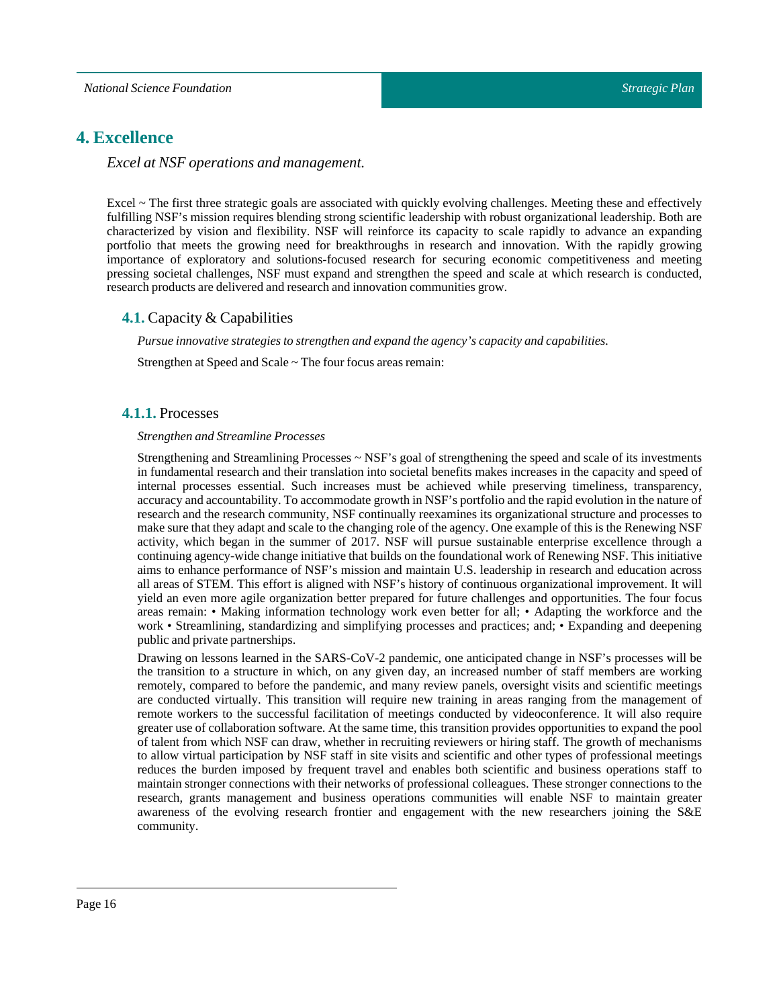# <span id="page-15-0"></span>**4. Excellence**

## *Excel at NSF operations and management.*

Excel ~ The first three strategic goals are associated with quickly evolving challenges. Meeting these and effectively fulfilling NSF's mission requires blending strong scientific leadership with robust organizational leadership. Both are characterized by vision and flexibility. NSF will reinforce its capacity to scale rapidly to advance an expanding portfolio that meets the growing need for breakthroughs in research and innovation. With the rapidly growing importance of exploratory and solutions-focused research for securing economic competitiveness and meeting pressing societal challenges, NSF must expand and strengthen the speed and scale at which research is conducted, research products are delivered and research and innovation communities grow.

## <span id="page-15-1"></span>**4.1.** Capacity & Capabilities

*Pursue innovative strategies to strengthen and expand the agency's capacity and capabilities.*

Strengthen at Speed and Scale ~ The four focus areas remain:

## <span id="page-15-2"></span>**4.1.1.** Processes

#### *Strengthen and Streamline Processes*

Strengthening and Streamlining Processes ~ NSF's goal of strengthening the speed and scale of its investments in fundamental research and their translation into societal benefits makes increases in the capacity and speed of internal processes essential. Such increases must be achieved while preserving timeliness, transparency, accuracy and accountability. To accommodate growth in NSF's portfolio and the rapid evolution in the nature of research and the research community, NSF continually reexamines its organizational structure and processes to make sure that they adapt and scale to the changing role of the agency. One example of this is the Renewing NSF activity, which began in the summer of 2017. NSF will pursue sustainable enterprise excellence through a continuing agency-wide change initiative that builds on the foundational work of Renewing NSF. This initiative aims to enhance performance of NSF's mission and maintain U.S. leadership in research and education across all areas of STEM. This effort is aligned with NSF's history of continuous organizational improvement. It will yield an even more agile organization better prepared for future challenges and opportunities. The four focus areas remain: • Making information technology work even better for all; • Adapting the workforce and the work • Streamlining, standardizing and simplifying processes and practices; and; • Expanding and deepening public and private partnerships.

Drawing on lessons learned in the SARS-CoV-2 pandemic, one anticipated change in NSF's processes will be the transition to a structure in which, on any given day, an increased number of staff members are working remotely, compared to before the pandemic, and many review panels, oversight visits and scientific meetings are conducted virtually. This transition will require new training in areas ranging from the management of remote workers to the successful facilitation of meetings conducted by videoconference. It will also require greater use of collaboration software. At the same time, this transition provides opportunities to expand the pool of talent from which NSF can draw, whether in recruiting reviewers or hiring staff. The growth of mechanisms to allow virtual participation by NSF staff in site visits and scientific and other types of professional meetings reduces the burden imposed by frequent travel and enables both scientific and business operations staff to maintain stronger connections with their networks of professional colleagues. These stronger connections to the research, grants management and business operations communities will enable NSF to maintain greater awareness of the evolving research frontier and engagement with the new researchers joining the S&E community.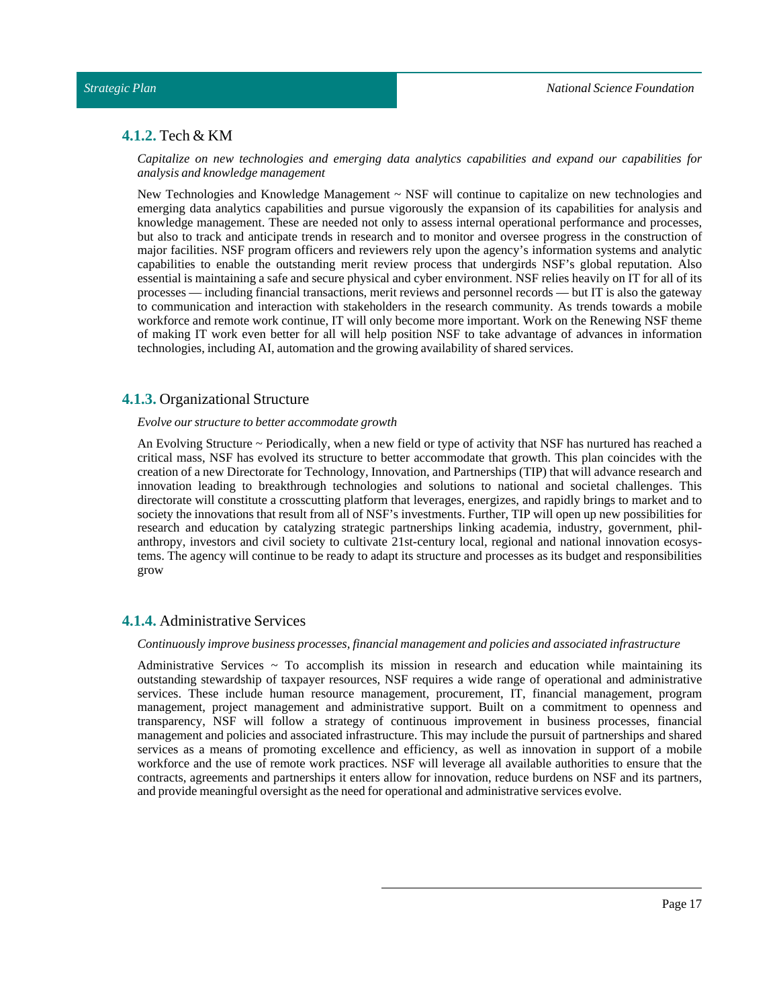## <span id="page-16-0"></span>**4.1.2.** Tech & KM

*Capitalize on new technologies and emerging data analytics capabilities and expand our capabilities for analysis and knowledge management*

New Technologies and Knowledge Management ~ NSF will continue to capitalize on new technologies and emerging data analytics capabilities and pursue vigorously the expansion of its capabilities for analysis and knowledge management. These are needed not only to assess internal operational performance and processes, but also to track and anticipate trends in research and to monitor and oversee progress in the construction of major facilities. NSF program officers and reviewers rely upon the agency's information systems and analytic capabilities to enable the outstanding merit review process that undergirds NSF's global reputation. Also essential is maintaining a safe and secure physical and cyber environment. NSF relies heavily on IT for all of its processes — including financial transactions, merit reviews and personnel records — but IT is also the gateway to communication and interaction with stakeholders in the research community. As trends towards a mobile workforce and remote work continue, IT will only become more important. Work on the Renewing NSF theme of making IT work even better for all will help position NSF to take advantage of advances in information technologies, including AI, automation and the growing availability of shared services.

## <span id="page-16-1"></span>**4.1.3.** Organizational Structure

#### *Evolve our structure to better accommodate growth*

An Evolving Structure ~ Periodically, when a new field or type of activity that NSF has nurtured has reached a critical mass, NSF has evolved its structure to better accommodate that growth. This plan coincides with the creation of a new Directorate for Technology, Innovation, and Partnerships (TIP) that will advance research and innovation leading to breakthrough technologies and solutions to national and societal challenges. This directorate will constitute a crosscutting platform that leverages, energizes, and rapidly brings to market and to society the innovations that result from all of NSF's investments. Further, TIP will open up new possibilities for research and education by catalyzing strategic partnerships linking academia, industry, government, philanthropy, investors and civil society to cultivate 21st-century local, regional and national innovation ecosystems. The agency will continue to be ready to adapt its structure and processes as its budget and responsibilities grow

#### <span id="page-16-2"></span>**4.1.4.** Administrative Services

#### *Continuously improve business processes,financial management and policies and associated infrastructure*

Administrative Services  $\sim$  To accomplish its mission in research and education while maintaining its outstanding stewardship of taxpayer resources, NSF requires a wide range of operational and administrative services. These include human resource management, procurement, IT, financial management, program management, project management and administrative support. Built on a commitment to openness and transparency, NSF will follow a strategy of continuous improvement in business processes, financial management and policies and associated infrastructure. This may include the pursuit of partnerships and shared services as a means of promoting excellence and efficiency, as well as innovation in support of a mobile workforce and the use of remote work practices. NSF will leverage all available authorities to ensure that the contracts, agreements and partnerships it enters allow for innovation, reduce burdens on NSF and its partners, and provide meaningful oversight as the need for operational and administrative services evolve.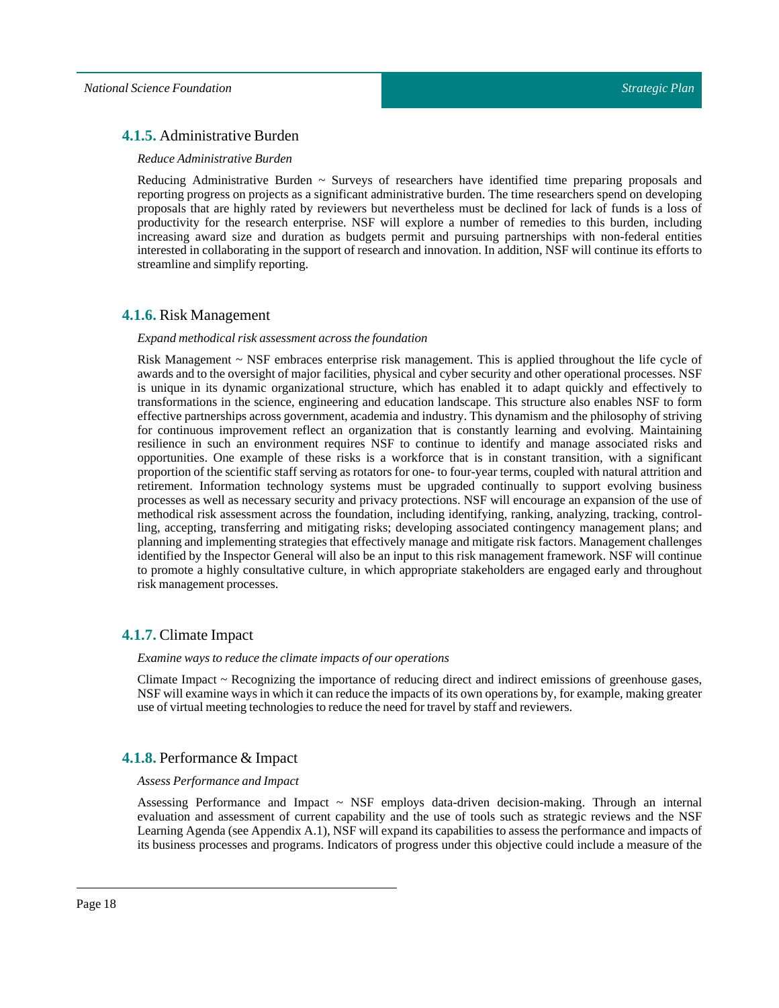## <span id="page-17-0"></span>**4.1.5.** Administrative Burden

#### *Reduce Administrative Burden*

Reducing Administrative Burden  $\sim$  Surveys of researchers have identified time preparing proposals and reporting progress on projects as a significant administrative burden. The time researchers spend on developing proposals that are highly rated by reviewers but nevertheless must be declined for lack of funds is a loss of productivity for the research enterprise. NSF will explore a number of remedies to this burden, including increasing award size and duration as budgets permit and pursuing partnerships with non-federal entities interested in collaborating in the support of research and innovation. In addition, NSF will continue its efforts to streamline and simplify reporting.

## <span id="page-17-1"></span>**4.1.6.** Risk Management

#### *Expand methodical risk assessment across the foundation*

Risk Management ~ NSF embraces enterprise risk management. This is applied throughout the life cycle of awards and to the oversight of major facilities, physical and cyber security and other operational processes. NSF is unique in its dynamic organizational structure, which has enabled it to adapt quickly and effectively to transformations in the science, engineering and education landscape. This structure also enables NSF to form effective partnerships across government, academia and industry. This dynamism and the philosophy of striving for continuous improvement reflect an organization that is constantly learning and evolving. Maintaining resilience in such an environment requires NSF to continue to identify and manage associated risks and opportunities. One example of these risks is a workforce that is in constant transition, with a significant proportion of the scientific staff serving as rotators for one- to four-year terms, coupled with natural attrition and retirement. Information technology systems must be upgraded continually to support evolving business processes as well as necessary security and privacy protections. NSF will encourage an expansion of the use of methodical risk assessment across the foundation, including identifying, ranking, analyzing, tracking, controlling, accepting, transferring and mitigating risks; developing associated contingency management plans; and planning and implementing strategies that effectively manage and mitigate risk factors. Management challenges identified by the Inspector General will also be an input to this risk management framework. NSF will continue to promote a highly consultative culture, in which appropriate stakeholders are engaged early and throughout risk management processes.

## <span id="page-17-2"></span>**4.1.7.** Climate Impact

#### *Examine ways to reduce the climate impacts of our operations*

Climate Impact ~ Recognizing the importance of reducing direct and indirect emissions of greenhouse gases, NSF will examine ways in which it can reduce the impacts of its own operations by, for example, making greater use of virtual meeting technologies to reduce the need for travel by staff and reviewers.

#### <span id="page-17-3"></span>**4.1.8.** Performance & Impact

#### *Assess Performance and Impact*

Assessing Performance and Impact  $\sim$  NSF employs data-driven decision-making. Through an internal evaluation and assessment of current capability and the use of tools such as strategic reviews and the NSF Learning Agenda (see Appendix A.1), NSF will expand its capabilities to assess the performance and impacts of its business processes and programs. Indicators of progress under this objective could include a measure of the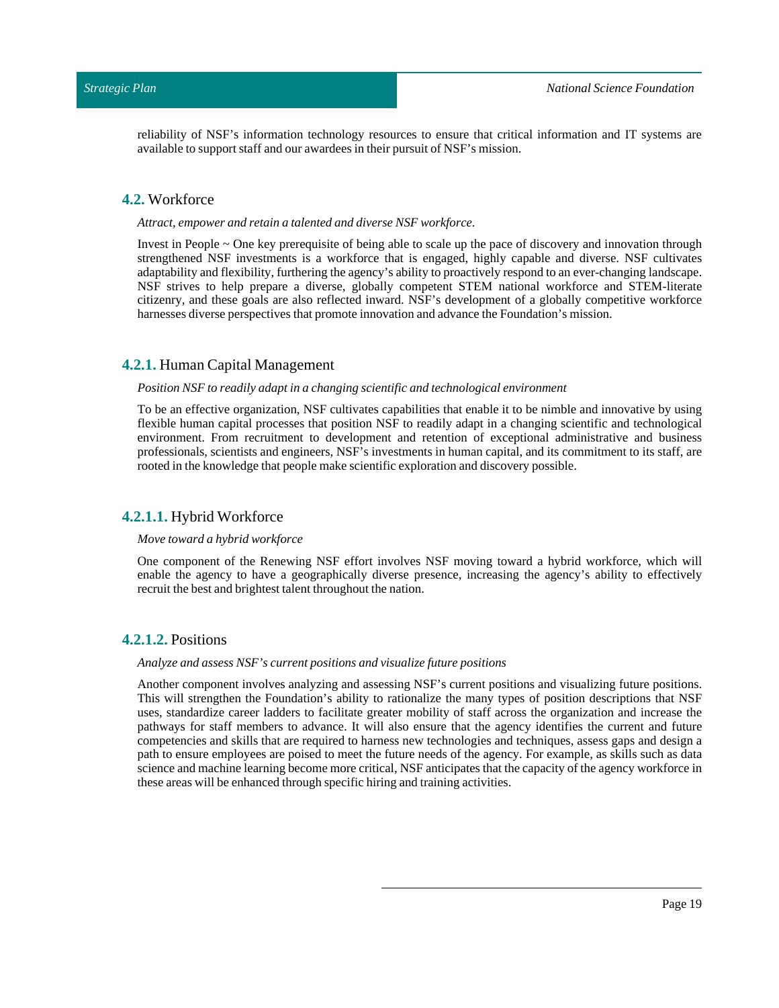reliability of NSF's information technology resources to ensure that critical information and IT systems are available to support staff and our awardees in their pursuit of NSF's mission.

## <span id="page-18-0"></span>**4.2.** Workforce

#### *Attract, empower and retain a talented and diverse NSF workforce.*

Invest in People ~ One key prerequisite of being able to scale up the pace of discovery and innovation through strengthened NSF investments is a workforce that is engaged, highly capable and diverse. NSF cultivates adaptability and flexibility, furthering the agency's ability to proactively respond to an ever-changing landscape. NSF strives to help prepare a diverse, globally competent STEM national workforce and STEM-literate citizenry, and these goals are also reflected inward. NSF's development of a globally competitive workforce harnesses diverse perspectives that promote innovation and advance the Foundation's mission.

#### <span id="page-18-1"></span>**4.2.1.** Human Capital Management

#### *Position NSF to readily adaptin a changing scientific and technological environment*

To be an effective organization, NSF cultivates capabilities that enable it to be nimble and innovative by using flexible human capital processes that position NSF to readily adapt in a changing scientific and technological environment. From recruitment to development and retention of exceptional administrative and business professionals, scientists and engineers, NSF's investments in human capital, and its commitment to its staff, are rooted in the knowledge that people make scientific exploration and discovery possible.

#### <span id="page-18-2"></span>**4.2.1.1.** Hybrid Workforce

#### *Move toward a hybrid workforce*

One component of the Renewing NSF effort involves NSF moving toward a hybrid workforce, which will enable the agency to have a geographically diverse presence, increasing the agency's ability to effectively recruit the best and brightest talent throughout the nation.

## <span id="page-18-3"></span>**4.2.1.2.** Positions

#### *Analyze and assess NSF's current positions and visualize future positions*

Another component involves analyzing and assessing NSF's current positions and visualizing future positions. This will strengthen the Foundation's ability to rationalize the many types of position descriptions that NSF uses, standardize career ladders to facilitate greater mobility of staff across the organization and increase the pathways for staff members to advance. It will also ensure that the agency identifies the current and future competencies and skills that are required to harness new technologies and techniques, assess gaps and design a path to ensure employees are poised to meet the future needs of the agency. For example, as skills such as data science and machine learning become more critical, NSF anticipates that the capacity of the agency workforce in these areas will be enhanced through specific hiring and training activities.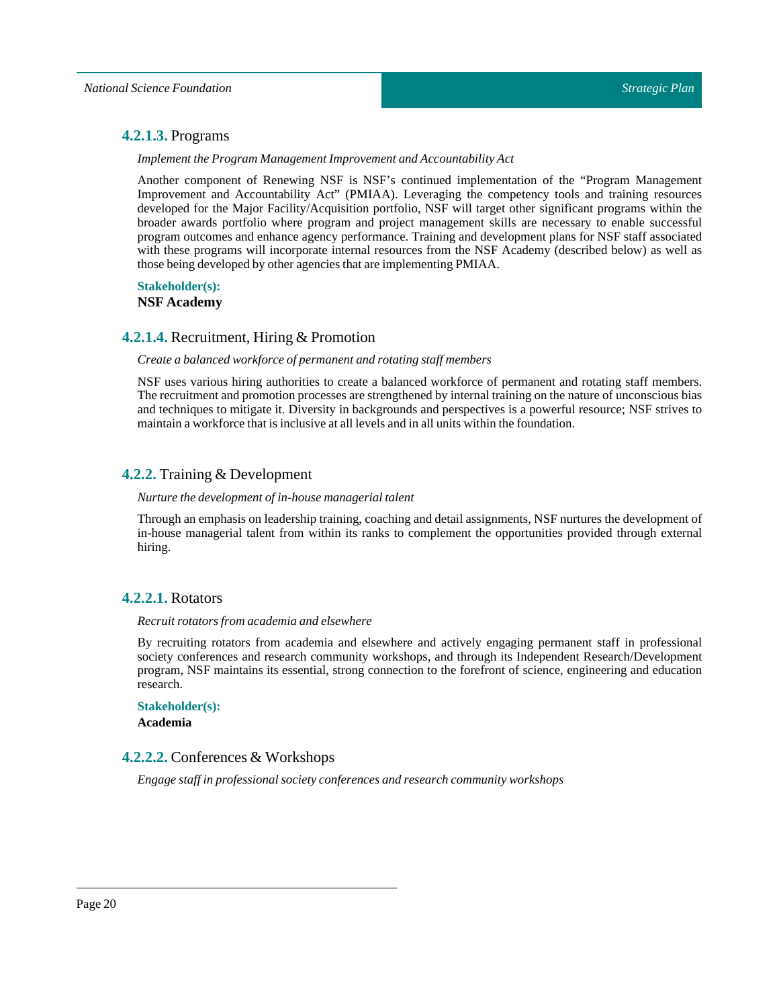## <span id="page-19-0"></span>**4.2.1.3.** Programs

*Implement the Program Management Improvement and Accountability Act* 

Another component of Renewing NSF is NSF's continued implementation of the "Program Management Improvement and Accountability Act" (PMIAA). Leveraging the competency tools and training resources developed for the Major Facility/Acquisition portfolio, NSF will target other significant programs within the broader awards portfolio where program and project management skills are necessary to enable successful program outcomes and enhance agency performance. Training and development plans for NSF staff associated with these programs will incorporate internal resources from the NSF Academy (described below) as well as those being developed by other agencies that are implementingPMIAA.

# **Stakeholder(s):**

**NSF Academy**

## <span id="page-19-1"></span>**4.2.1.4.** Recruitment, Hiring & Promotion

#### *Create a balanced workforce of permanent and rotating staff members*

NSF uses various hiring authorities to create a balanced workforce of permanent and rotating staff members. The recruitment and promotion processes are strengthened by internal training on the nature of unconscious bias and techniques to mitigate it. Diversity in backgrounds and perspectives is a powerful resource; NSF strives to maintain a workforce that is inclusive at all levels and in all units within the foundation.

## <span id="page-19-2"></span>**4.2.2.** Training & Development

#### *Nurture the development of in-house managerial talent*

Through an emphasis on leadership training, coaching and detail assignments, NSF nurtures the development of in-house managerial talent from within its ranks to complement the opportunities provided through external hiring.

## <span id="page-19-3"></span>**4.2.2.1.** Rotators

#### *Recruit rotators from academia and elsewhere*

By recruiting rotators from academia and elsewhere and actively engaging permanent staff in professional society conferences and research community workshops, and through its Independent Research/Development program, NSF maintains its essential, strong connection to the forefront of science, engineering and education research.

**Stakeholder(s):**

**Academia**

## <span id="page-19-4"></span>**4.2.2.2.** Conferences & Workshops

*Engage staffin professional society conferences and research community workshops*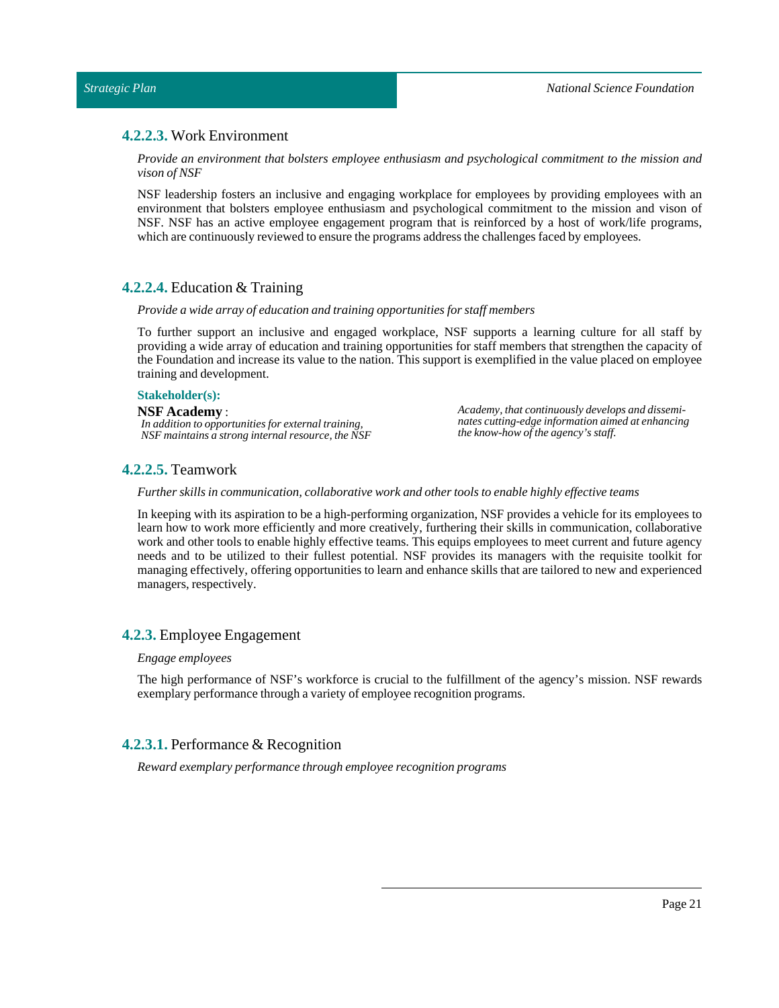## <span id="page-20-0"></span>**4.2.2.3.** Work Environment

*Provide an environment that bolsters employee enthusiasm and psychological commitment to the mission and vison of NSF*

NSF leadership fosters an inclusive and engaging workplace for employees by providing employees with an environment that bolsters employee enthusiasm and psychological commitment to the mission and vison of NSF. NSF has an active employee engagement program that is reinforced by a host of work/life programs, which are continuously reviewed to ensure the programs address the challenges faced by employees.

## <span id="page-20-1"></span>**4.2.2.4.** Education & Training

#### *Provide a wide array of education and training opportunities for staff members*

To further support an inclusive and engaged workplace, NSF supports a learning culture for all staff by providing a wide array of education and training opportunities for staff members that strengthen the capacity of the Foundation and increase its value to the nation. This support is exemplified in the value placed on employee training and development.

#### **Stakeholder(s):**

#### **NSF Academy** : *In addition to opportunities for external training, NSF maintains a strong internal resource, the NSF*

*Academy, that continuously develops and disseminates cutting-edge information aimed at enhancing the know-how of the agency's staff.*

## <span id="page-20-2"></span>**4.2.2.5.** Teamwork

*Further skills in communication, collaborative work and other tools to enable highly effective teams*

In keeping with its aspiration to be a high-performing organization, NSF provides a vehicle for its employees to learn how to work more efficiently and more creatively, furthering their skills in communication, collaborative work and other tools to enable highly effective teams. This equips employees to meet current and future agency needs and to be utilized to their fullest potential. NSF provides its managers with the requisite toolkit for managing effectively, offering opportunities to learn and enhance skills that are tailored to new and experienced managers, respectively.

## <span id="page-20-3"></span>**4.2.3.** Employee Engagement

#### *Engage employees*

The high performance of NSF's workforce is crucial to the fulfillment of the agency's mission. NSF rewards exemplary performance through a variety of employee recognition programs.

## <span id="page-20-4"></span>**4.2.3.1.** Performance & Recognition

*Reward exemplary performance through employee recognition programs*